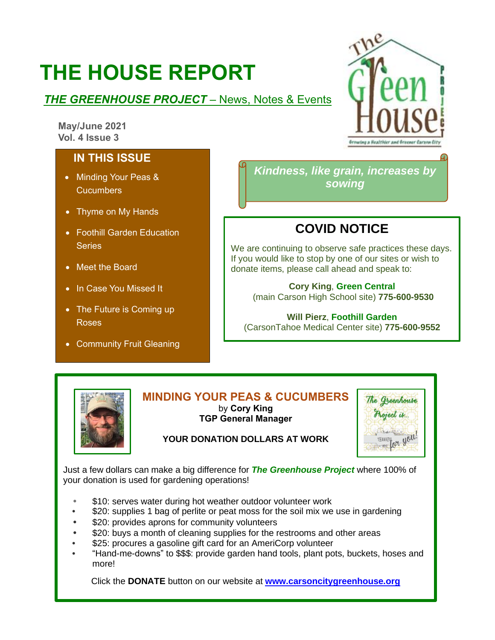# **THE HOUSE REPORT**

### **THE GREENHOUSE PROJECT** – News, Notes & Events

**May/June 2021 Vol. 4 Issue 3**

### **IN THIS ISSUE**

- Minding Your Peas & Cucumbers
- Thyme on My Hands
- Foothill Garden Education **Series**
- Meet the Board

•

- In Case You Missed It
- The Future is Coming up Roses
- Community Fruit Gleaning



*Kindness, like grain, increases by sowing* 

## **COVID NOTICE**

We are continuing to observe safe practices these days. If you would like to stop by one of our sites or wish to donate items, please call ahead and speak to:

**Cory King**, **Green Central** (main Carson High School site) **775-600-9530**

**Will Pierz**, **Foothill Garden** (CarsonTahoe Medical Center site) **775-600-9552**

#### **MINDING YOUR PEAS & CUCUMBERS** by **Cory King TGP General Manager**



#### **YOUR DONATION DOLLARS AT WORK**

Just a few dollars can make a big difference for *The Greenhouse Project* where 100% of your donation is used for gardening operations!

- \$10: serves water during hot weather outdoor volunteer work
- **•** \$20: supplies 1 bag of perlite or peat moss for the soil mix we use in gardening
- \$20: provides aprons for community volunteers
- \$20: buys a month of cleaning supplies for the restrooms and other areas
- **•** \$25: procures a gasoline gift card for an AmeriCorp volunteer
- **•** "Hand-me-downs" to \$\$\$: provide garden hand tools, plant pots, buckets, hoses and more!

Click the **DONATE** button on our website at **[www.carsoncitygreenhouse.org](http://www.carsoncitygreenhouse.org/)**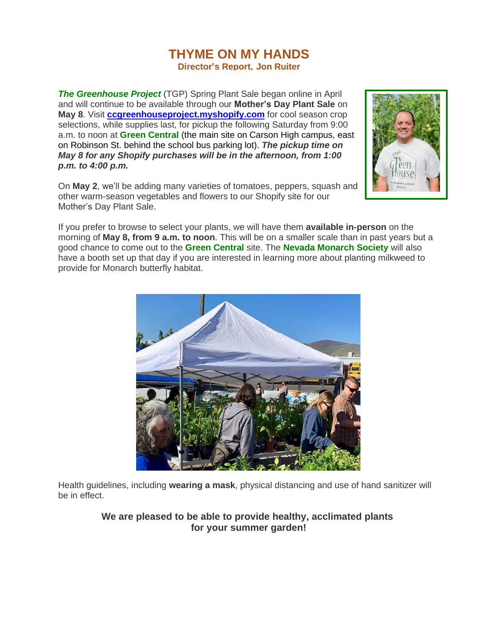#### **THYME ON MY HANDS Director's Report, Jon Ruiter**

*The Greenhouse Project* (TGP) Spring Plant Sale began online in April and will continue to be available through our **Mother's Day Plant Sale** on **May 8**. Visit **[ccgreenhouseproject.myshopify.com](http://ccgreenhouseproject.myshopify.com/)** for cool season crop selections, while supplies last, for pickup the following Saturday from 9:00 a.m. to noon at **Green Central** (the main site on Carson High campus, east on Robinson St. behind the school bus parking lot). *The pickup time on May 8 for any Shopify purchases will be in the afternoon, from 1:00 p.m. to 4:00 p.m.*

On **May 2**, we'll be adding many varieties of tomatoes, peppers, squash and other warm-season vegetables and flowers to our Shopify site for our Mother's Day Plant Sale.



If you prefer to browse to select your plants, we will have them **available in-person** on the morning of **May 8, from 9 a.m. to noon**. This will be on a smaller scale than in past years but a good chance to come out to the **Green Central** site. The **Nevada Monarch Society** will also have a booth set up that day if you are interested in learning more about planting milkweed to provide for Monarch butterfly habitat.



Health guidelines, including **wearing a mask**, physical distancing and use of hand sanitizer will be in effect.

> **We are pleased to be able to provide healthy, acclimated plants for your summer garden!**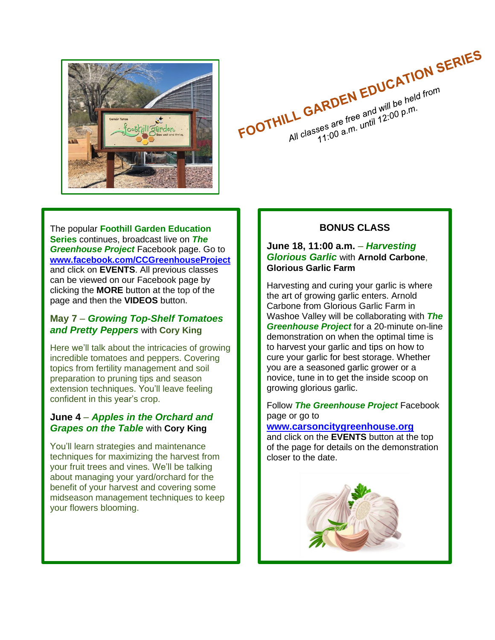

FOOTHILL GARDEN EDUCATION SERIES All classes are free and will be held from ARDEN and will be held<br>sees are free and will be held<br>11:00 a.m. until 12:00 p.m.

The popular **Foothill Garden Education Series** continues, broadcast live on *The Greenhouse Project* Facebook page. Go to **[www.facebook.com/CCGreenhouseProject](http://www.facebook.com/CCGreenhouseProject)** and click on **EVENTS**. All previous classes can be viewed on our Facebook page by clicking the **MORE** button at the top of the page and then the **VIDEOS** button.

#### **May 7** – *Growing Top-Shelf Tomatoes and Pretty Peppers* with **Cory King**

Here we'll talk about the intricacies of growing incredible tomatoes and peppers. Covering topics from fertility management and soil preparation to pruning tips and season extension techniques. You'll leave feeling confident in this year's crop.

#### **June 4** – *Apples in the Orchard and Grapes on the Table* with **Cory King**

You'll learn strategies and maintenance techniques for maximizing the harvest from your fruit trees and vines. We'll be talking about managing your yard/orchard for the benefit of your harvest and covering some midseason management techniques to keep your flowers blooming.

#### **BONUS CLASS**

#### **June 18, 11:00 a.m.** – *Harvesting Glorious Garlic* with **Arnold Carbone**, **Glorious Garlic Farm**

Harvesting and curing your garlic is where the art of growing garlic enters. Arnold Carbone from Glorious Garlic Farm in Washoe Valley will be collaborating with *The Greenhouse Project* for a 20-minute on-line demonstration on when the optimal time is to harvest your garlic and tips on how to cure your garlic for best storage. Whether you are a seasoned garlic grower or a novice, tune in to get the inside scoop on growing glorious garlic.

Follow *The Greenhouse Project* Facebook page or go to

#### **[www.carsoncitygreenhouse.org](http://www.carsoncitygreenhouse.org/)**

and click on the **EVENTS** button at the top of the page for details on the demonstration closer to the date.

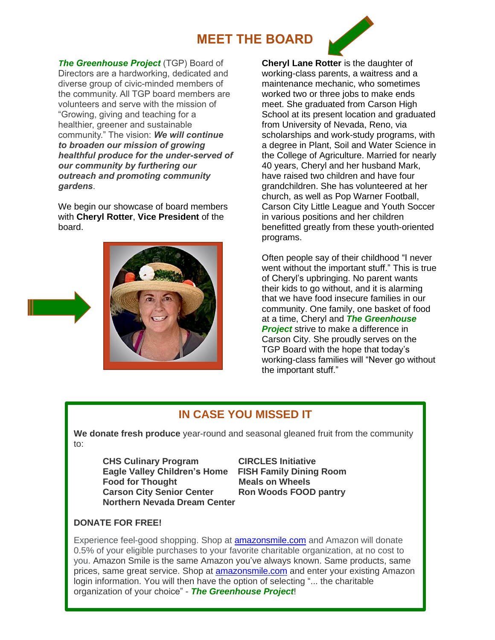### **MEET THE BOARD**



**Cheryl Lane Rotter** is the daughter of

*The Greenhouse Project* (TGP) Board of Directors are a hardworking, dedicated and diverse group of civic-minded members of the community. All TGP board members are volunteers and serve with the mission of "Growing, giving and teaching for a healthier, greener and sustainable community." The vision: *We will continue to broaden our mission of growing healthful produce for the under-served of our community by furthering our outreach and promoting community gardens*.

We begin our showcase of board members with **Cheryl Rotter**, **Vice President** of the board.



working-class parents, a waitress and a maintenance mechanic, who sometimes worked two or three jobs to make ends meet. She graduated from Carson High School at its present location and graduated from University of Nevada, Reno, via scholarships and work-study programs, with a degree in Plant, Soil and Water Science in the College of Agriculture. Married for nearly 40 years, Cheryl and her husband Mark, have raised two children and have four grandchildren. She has volunteered at her church, as well as Pop Warner Football, Carson City Little League and Youth Soccer in various positions and her children benefitted greatly from these youth-oriented programs.

Often people say of their childhood "I never went without the important stuff." This is true of Cheryl's upbringing. No parent wants their kids to go without, and it is alarming that we have food insecure families in our community. One family, one basket of food at a time, Cheryl and *The Greenhouse Project* strive to make a difference in Carson City. She proudly serves on the TGP Board with the hope that today's working-class families will "Never go without the important stuff."

### **IN CASE YOU MISSED IT**

**We donate fresh produce** year-round and seasonal gleaned fruit from the community to:

**CHS Culinary Program CIRCLES Initiative Eagle Valley Children's Home FISH Family Dining Room Food for Thought Meals on Wheels Carson City Senior Center Ron Woods FOOD pantry Northern Nevada Dream Center**

#### **DONATE FOR FREE!**

Experience feel-good shopping. Shop at [amazonsmile.com](http://www.amazonsmile.com/) and Amazon will donate 0.5% of your eligible purchases to your favorite charitable organization, at no cost to you. Amazon Smile is the same Amazon you've always known. Same products, same prices, same great service. Shop at [amazonsmile.com](http://www.amazonsmile.com/) and enter your existing Amazon login information. You will then have the option of selecting "... the charitable organization of your choice" - *The Greenhouse Project*!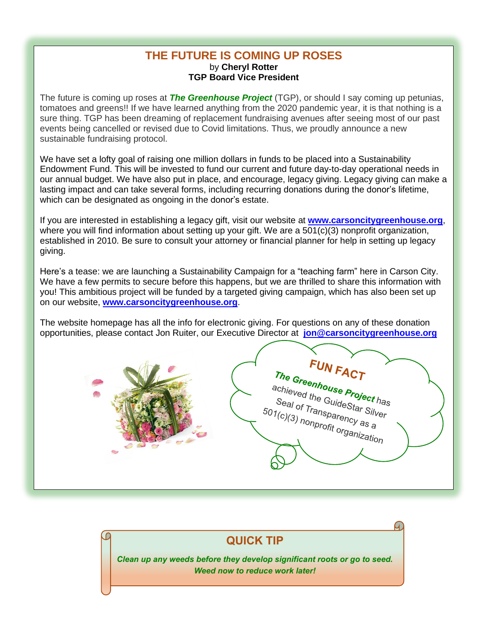#### **THE FUTURE IS COMING UP ROSES** by **Cheryl Rotter TGP Board Vice President**

The future is coming up roses at *The Greenhouse Project* (TGP), or should I say coming up petunias, tomatoes and greens!! If we have learned anything from the 2020 pandemic year, it is that nothing is a sure thing. TGP has been dreaming of replacement fundraising avenues after seeing most of our past events being cancelled or revised due to Covid limitations. Thus, we proudly announce a new sustainable fundraising protocol.

We have set a lofty goal of raising one million dollars in funds to be placed into a Sustainability Endowment Fund. This will be invested to fund our current and future day-to-day operational needs in our annual budget. We have also put in place, and encourage, legacy giving. Legacy giving can make a lasting impact and can take several forms, including recurring donations during the donor's lifetime, which can be designated as ongoing in the donor's estate.

If you are interested in establishing a legacy gift, visit our website at **[www.carsoncitygreenhouse.org](http://www.carsoncitygreenhouse.org/)**, where you will find information about setting up your gift. We are a 501(c)(3) nonprofit organization, established in 2010. Be sure to consult your attorney or financial planner for help in setting up legacy giving.

Here's a tease: we are launching a Sustainability Campaign for a "teaching farm" here in Carson City. We have a few permits to secure before this happens, but we are thrilled to share this information with you! This ambitious project will be funded by a targeted giving campaign, which has also been set up on our website, **[www.carsoncitygreenhouse.org](http://www.carsoncitygreenhouse.org/)**.

The website homepage has all the info for electronic giving. For questions on any of these donation opportunities, please contact Jon Ruiter, our Executive Director at **[jon@carsoncitygreenhouse.org](mailto:jon@carsoncitygreenhouse.org)**

FUN FACT

The Greenhouse Project has<br>achieved the GuideStar subset has **The Greenhouse Project has<br>achieved the GuideStar Silver<br>Seal of Transparency as a Silver<br>01(c)(3) nonne arency as a** Seal of Transparency as a<br>Seal of Transparency as a<br>1(c)(3) nonprofit organis Seal of Transparency as a<br>501(c)(3) nonprofit organization

**QUICK TIP** *Clean up any weeds before they develop significant roots or go to seed. Weed now to reduce work later!*